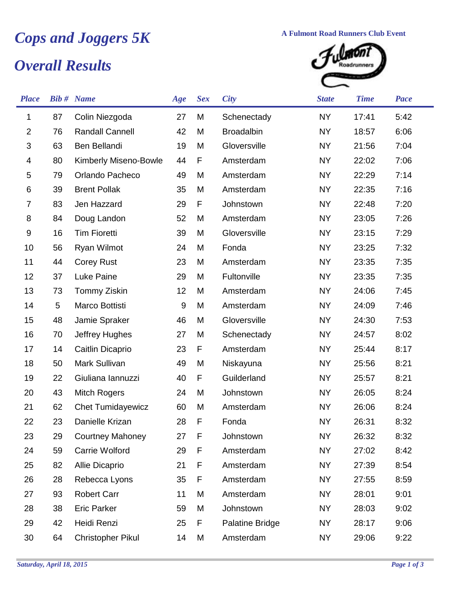## **Cops and Joggers 5K** A Fulmont Road Runners Club Event<br> **Cops and Results**

## *Overall Results*



| <b>Place</b>              |    | <b>Bib #</b> Name        | Age              | <b>Sex</b> | <b>City</b>            | <b>State</b> | <b>Time</b> | <b>Pace</b> |
|---------------------------|----|--------------------------|------------------|------------|------------------------|--------------|-------------|-------------|
| 1                         | 87 | Colin Niezgoda           | 27               | M          | Schenectady            | <b>NY</b>    | 17:41       | 5:42        |
| $\overline{2}$            | 76 | <b>Randall Cannell</b>   | 42               | M          | <b>Broadalbin</b>      | <b>NY</b>    | 18:57       | 6:06        |
| $\ensuremath{\mathsf{3}}$ | 63 | Ben Bellandi             | 19               | M          | Gloversville           | <b>NY</b>    | 21:56       | 7:04        |
| 4                         | 80 | Kimberly Miseno-Bowle    | 44               | F          | Amsterdam              | <b>NY</b>    | 22:02       | 7:06        |
| 5                         | 79 | Orlando Pacheco          | 49               | M          | Amsterdam              | <b>NY</b>    | 22:29       | 7:14        |
| 6                         | 39 | <b>Brent Pollak</b>      | 35               | M          | Amsterdam              | <b>NY</b>    | 22:35       | 7:16        |
| $\overline{7}$            | 83 | Jen Hazzard              | 29               | F          | Johnstown              | <b>NY</b>    | 22:48       | 7:20        |
| 8                         | 84 | Doug Landon              | 52               | M          | Amsterdam              | <b>NY</b>    | 23:05       | 7:26        |
| 9                         | 16 | <b>Tim Fioretti</b>      | 39               | M          | Gloversville           | <b>NY</b>    | 23:15       | 7:29        |
| 10                        | 56 | Ryan Wilmot              | 24               | M          | Fonda                  | <b>NY</b>    | 23:25       | 7:32        |
| 11                        | 44 | <b>Corey Rust</b>        | 23               | M          | Amsterdam              | <b>NY</b>    | 23:35       | 7:35        |
| 12                        | 37 | <b>Luke Paine</b>        | 29               | M          | Fultonville            | <b>NY</b>    | 23:35       | 7:35        |
| 13                        | 73 | Tommy Ziskin             | 12               | M          | Amsterdam              | <b>NY</b>    | 24:06       | 7:45        |
| 14                        | 5  | Marco Bottisti           | $\boldsymbol{9}$ | M          | Amsterdam              | <b>NY</b>    | 24:09       | 7:46        |
| 15                        | 48 | Jamie Spraker            | 46               | M          | Gloversville           | <b>NY</b>    | 24:30       | 7:53        |
| 16                        | 70 | Jeffrey Hughes           | 27               | M          | Schenectady            | NY           | 24:57       | 8:02        |
| 17                        | 14 | Caitlin Dicaprio         | 23               | F          | Amsterdam              | <b>NY</b>    | 25:44       | 8:17        |
| 18                        | 50 | Mark Sullivan            | 49               | M          | Niskayuna              | <b>NY</b>    | 25:56       | 8:21        |
| 19                        | 22 | Giuliana lannuzzi        | 40               | F          | Guilderland            | <b>NY</b>    | 25:57       | 8:21        |
| 20                        | 43 | <b>Mitch Rogers</b>      | 24               | M          | Johnstown              | <b>NY</b>    | 26:05       | 8:24        |
| 21                        | 62 | <b>Chet Tumidayewicz</b> | 60               | M          | Amsterdam              | <b>NY</b>    | 26:06       | 8:24        |
| 22                        | 23 | Danielle Krizan          | 28               | F          | Fonda                  | <b>NY</b>    | 26:31       | 8:32        |
| 23                        | 29 | <b>Courtney Mahoney</b>  | 27               | F          | Johnstown              | <b>NY</b>    | 26:32       | 8:32        |
| 24                        | 59 | Carrie Wolford           | 29               | F          | Amsterdam              | <b>NY</b>    | 27:02       | 8:42        |
| 25                        | 82 | Allie Dicaprio           | 21               | F          | Amsterdam              | <b>NY</b>    | 27:39       | 8:54        |
| 26                        | 28 | Rebecca Lyons            | 35               | F          | Amsterdam              | <b>NY</b>    | 27:55       | 8:59        |
| 27                        | 93 | <b>Robert Carr</b>       | 11               | M          | Amsterdam              | <b>NY</b>    | 28:01       | 9:01        |
| 28                        | 38 | <b>Eric Parker</b>       | 59               | M          | Johnstown              | <b>NY</b>    | 28:03       | 9:02        |
| 29                        | 42 | Heidi Renzi              | 25               | F          | <b>Palatine Bridge</b> | <b>NY</b>    | 28:17       | 9:06        |
| 30                        | 64 | <b>Christopher Pikul</b> | 14               | M          | Amsterdam              | <b>NY</b>    | 29:06       | 9:22        |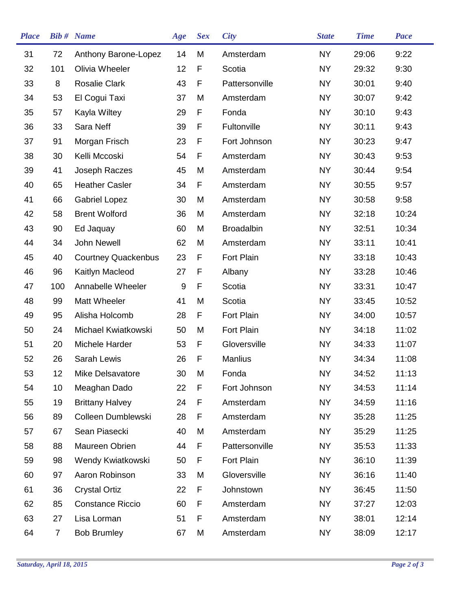| <b>Place</b> |                | <b>Bib #</b> Name          | Age              | <b>Sex</b> | <b>City</b>       | <b>State</b> | <b>Time</b> | <b>Pace</b> |
|--------------|----------------|----------------------------|------------------|------------|-------------------|--------------|-------------|-------------|
| 31           | 72             | Anthony Barone-Lopez       | 14               | M          | Amsterdam         | <b>NY</b>    | 29:06       | 9:22        |
| 32           | 101            | Olivia Wheeler             | 12               | F          | Scotia            | <b>NY</b>    | 29:32       | 9:30        |
| 33           | 8              | <b>Rosalie Clark</b>       | 43               | F          | Pattersonville    | <b>NY</b>    | 30:01       | 9:40        |
| 34           | 53             | El Cogui Taxi              | 37               | M          | Amsterdam         | <b>NY</b>    | 30:07       | 9:42        |
| 35           | 57             | Kayla Wiltey               | 29               | F          | Fonda             | <b>NY</b>    | 30:10       | 9:43        |
| 36           | 33             | Sara Neff                  | 39               | F          | Fultonville       | <b>NY</b>    | 30:11       | 9:43        |
| 37           | 91             | Morgan Frisch              | 23               | F          | Fort Johnson      | <b>NY</b>    | 30:23       | 9:47        |
| 38           | 30             | Kelli Mccoski              | 54               | F          | Amsterdam         | <b>NY</b>    | 30:43       | 9:53        |
| 39           | 41             | Joseph Raczes              | 45               | M          | Amsterdam         | <b>NY</b>    | 30:44       | 9:54        |
| 40           | 65             | <b>Heather Casler</b>      | 34               | F          | Amsterdam         | <b>NY</b>    | 30:55       | 9:57        |
| 41           | 66             | <b>Gabriel Lopez</b>       | 30               | M          | Amsterdam         | <b>NY</b>    | 30:58       | 9:58        |
| 42           | 58             | <b>Brent Wolford</b>       | 36               | M          | Amsterdam         | <b>NY</b>    | 32:18       | 10:24       |
| 43           | 90             | Ed Jaquay                  | 60               | M          | <b>Broadalbin</b> | <b>NY</b>    | 32:51       | 10:34       |
| 44           | 34             | <b>John Newell</b>         | 62               | M          | Amsterdam         | <b>NY</b>    | 33:11       | 10:41       |
| 45           | 40             | <b>Courtney Quackenbus</b> | 23               | F          | <b>Fort Plain</b> | <b>NY</b>    | 33:18       | 10:43       |
| 46           | 96             | Kaitlyn Macleod            | 27               | F          | Albany            | <b>NY</b>    | 33:28       | 10:46       |
| 47           | 100            | Annabelle Wheeler          | $\boldsymbol{9}$ | F          | Scotia            | <b>NY</b>    | 33:31       | 10:47       |
| 48           | 99             | Matt Wheeler               | 41               | M          | Scotia            | <b>NY</b>    | 33:45       | 10:52       |
| 49           | 95             | Alisha Holcomb             | 28               | F          | Fort Plain        | <b>NY</b>    | 34:00       | 10:57       |
| 50           | 24             | Michael Kwiatkowski        | 50               | M          | Fort Plain        | <b>NY</b>    | 34:18       | 11:02       |
| 51           | 20             | Michele Harder             | 53               | F          | Gloversville      | <b>NY</b>    | 34:33       | 11:07       |
| 52           | 26             | Sarah Lewis                | 26               | F          | <b>Manlius</b>    | <b>NY</b>    | 34:34       | 11:08       |
| 53           | 12             | Mike Delsavatore           | 30               | M          | Fonda             | <b>NY</b>    | 34:52       | 11:13       |
| 54           | 10             | Meaghan Dado               | 22               | F          | Fort Johnson      | <b>NY</b>    | 34:53       | 11:14       |
| 55           | 19             | <b>Brittany Halvey</b>     | 24               | F          | Amsterdam         | <b>NY</b>    | 34:59       | 11:16       |
| 56           | 89             | Colleen Dumblewski         | 28               | F          | Amsterdam         | <b>NY</b>    | 35:28       | 11:25       |
| 57           | 67             | Sean Piasecki              | 40               | M          | Amsterdam         | <b>NY</b>    | 35:29       | 11:25       |
| 58           | 88             | Maureen Obrien             | 44               | F          | Pattersonville    | <b>NY</b>    | 35:53       | 11:33       |
| 59           | 98             | Wendy Kwiatkowski          | 50               | F          | Fort Plain        | <b>NY</b>    | 36:10       | 11:39       |
| 60           | 97             | Aaron Robinson             | 33               | M          | Gloversville      | <b>NY</b>    | 36:16       | 11:40       |
| 61           | 36             | <b>Crystal Ortiz</b>       | 22               | F          | Johnstown         | <b>NY</b>    | 36:45       | 11:50       |
| 62           | 85             | <b>Constance Riccio</b>    | 60               | F          | Amsterdam         | <b>NY</b>    | 37:27       | 12:03       |
| 63           | 27             | Lisa Lorman                | 51               | F          | Amsterdam         | <b>NY</b>    | 38:01       | 12:14       |
| 64           | $\overline{7}$ | <b>Bob Brumley</b>         | 67               | M          | Amsterdam         | <b>NY</b>    | 38:09       | 12:17       |